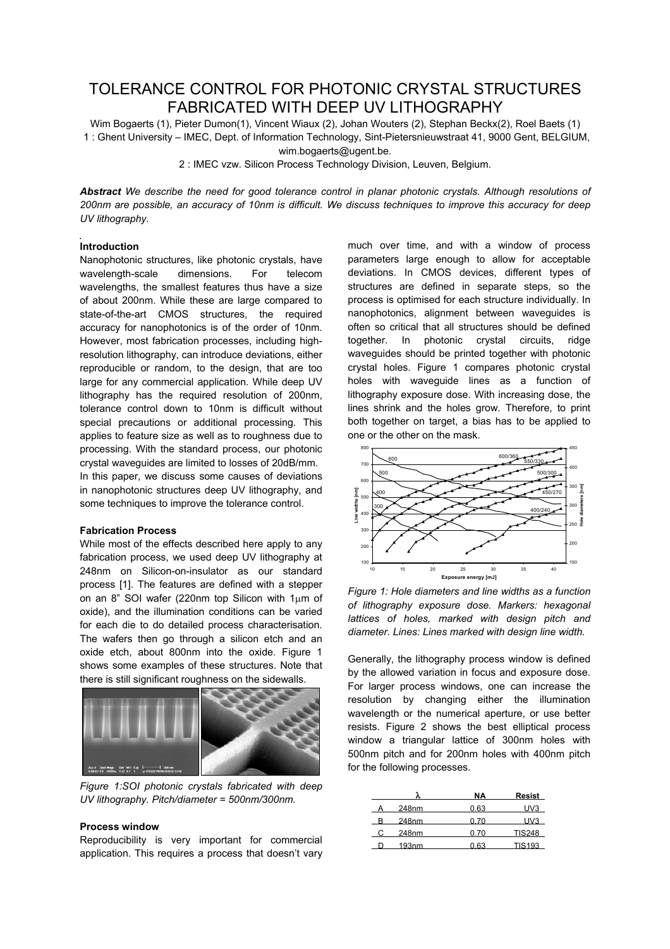# TOLERANCE CONTROL FOR PHOTONIC CRYSTAL STRUCTURES FABRICATED WITH DEEP UV LITHOGRAPHY

Wim Bogaerts (1), Pieter Dumon(1), Vincent Wiaux (2), Johan Wouters (2), Stephan Beckx(2), Roel Baets (1) 1 : Ghent University – IMEC, Dept. of Information Technology, Sint-Pietersnieuwstraat 41, 9000 Gent, BELGIUM, wim.bogaerts@ugent.be.

2 : IMEC vzw. Silicon Process Technology Division, Leuven, Belgium.

*Abstract We describe the need for good tolerance control in planar photonic crystals. Although resolutions of 200nm are possible, an accuracy of 10nm is difficult. We discuss techniques to improve this accuracy for deep UV lithography.*

## **Introduction**

Nanophotonic structures, like photonic crystals, have wavelength-scale dimensions. For telecom wavelengths, the smallest features thus have a size of about 200nm. While these are large compared to state-of-the-art CMOS structures, the required accuracy for nanophotonics is of the order of 10nm. However, most fabrication processes, including highresolution lithography, can introduce deviations, either reproducible or random, to the design, that are too large for any commercial application. While deep UV lithography has the required resolution of 200nm, tolerance control down to 10nm is difficult without special precautions or additional processing. This applies to feature size as well as to roughness due to processing. With the standard process, our photonic crystal waveguides are limited to losses of 20dB/mm. In this paper, we discuss some causes of deviations in nanophotonic structures deep UV lithography, and some techniques to improve the tolerance control.

## **Fabrication Process**

While most of the effects described here apply to any fabrication process, we used deep UV lithography at 248nm on Silicon-on-insulator as our standard process [1]. The features are defined with a stepper on an 8" SOI wafer (220nm top Silicon with  $1\mu$ m of oxide), and the illumination conditions can be varied for each die to do detailed process characterisation. The wafers then go through a silicon etch and an oxide etch, about 800nm into the oxide. Figure 1 shows some examples of these structures. Note that there is still significant roughness on the sidewalls.



*Figure 1:SOI photonic crystals fabricated with deep UV lithography. Pitch/diameter = 500nm/300nm.*

## **Process window**

Reproducibility is very important for commercial application. This requires a process that doesn't vary

much over time, and with a window of process parameters large enough to allow for acceptable deviations. In CMOS devices, different types of structures are defined in separate steps, so the process is optimised for each structure individually. In nanophotonics, alignment between waveguides is often so critical that all structures should be defined together. In photonic crystal circuits, ridge waveguides should be printed together with photonic crystal holes. Figure 1 compares photonic crystal holes with waveguide lines as a function of lithography exposure dose. With increasing dose, the lines shrink and the holes grow. Therefore, to print both together on target, a bias has to be applied to one or the other on the mask.



*Figure 1: Hole diameters and line widths as a function of lithography exposure dose. Markers: hexagonal lattices of holes, marked with design pitch and diameter. Lines: Lines marked with design line width.*

Generally, the lithography process window is defined by the allowed variation in focus and exposure dose. For larger process windows, one can increase the resolution by changing either the illumination wavelength or the numerical aperture, or use better resists. Figure 2 shows the best elliptical process window a triangular lattice of 300nm holes with 500nm pitch and for 200nm holes with 400nm pitch for the following processes.

|                   | ΝA   | Resist |
|-------------------|------|--------|
| 248nm             | 0.63 | UV3    |
| 248nm             | በ 7በ | UV3    |
| 248nm             | 0.70 | TIS248 |
| 193 <sub>nm</sub> | 0.63 | TIS193 |